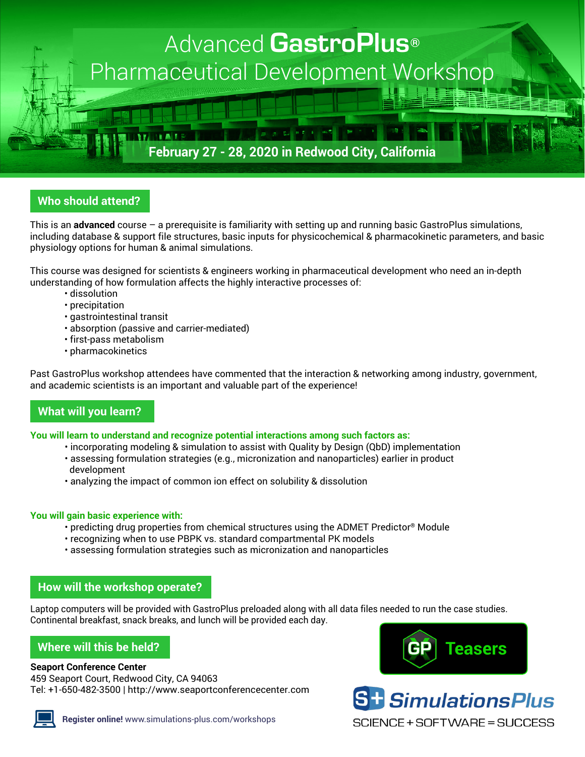

# **Who should attend?**

This is an **advanced** course – a prerequisite is familiarity with setting up and running basic GastroPlus simulations, including database & support file structures, basic inputs for physicochemical & pharmacokinetic parameters, and basic physiology options for human & animal simulations.

This course was designed for scientists & engineers working in pharmaceutical development who need an in-depth understanding of how formulation affects the highly interactive processes of:

- dissolution
- precipitation
- gastrointestinal transit
- absorption (passive and carrier-mediated)
- first-pass metabolism
- pharmacokinetics

Past GastroPlus workshop attendees have commented that the interaction & networking among industry, government, and academic scientists is an important and valuable part of the experience!

# **What will you learn?**

#### **You will learn to understand and recognize potential interactions among such factors as:**

- incorporating modeling & simulation to assist with Quality by Design (QbD) implementation
- assessing formulation strategies (e.g., micronization and nanoparticles) earlier in product development
- analyzing the impact of common ion effect on solubility & dissolution

#### **You will gain basic experience with:**

- predicting drug properties from chemical structures using the ADMET Predictor® Module
- recognizing when to use PBPK vs. standard compartmental PK models
- assessing formulation strategies such as micronization and nanoparticles

## **How will the workshop operate?**

Laptop computers will be provided with GastroPlus preloaded along with all data files needed to run the case studies. Continental breakfast, snack breaks, and lunch will be provided each day.

# **Where will this be held?**

#### **Seaport Conference Center**

459 Seaport Court, Redwood City, CA 94063 Tel: +1-650-482-3500 | <http://www.seaportconferencecenter.com>